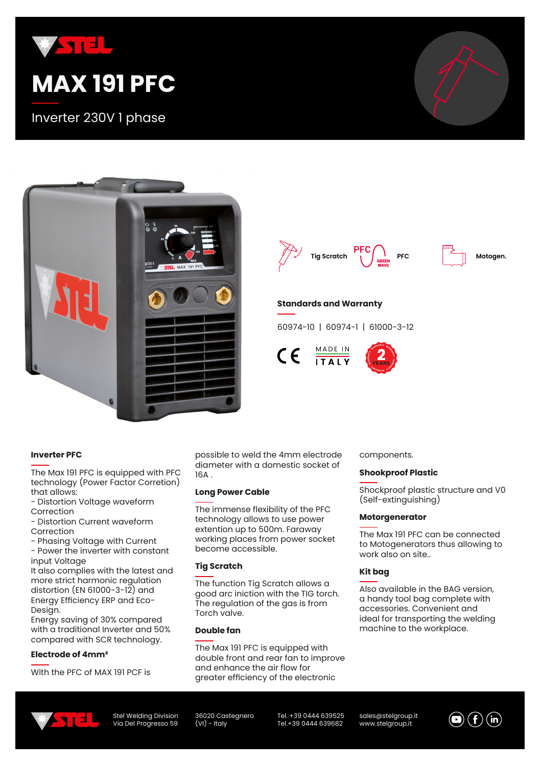

Inverter 230V 1 phase



**Tig Scratch PFC C CREEN PFC Motogen.**

## **Standards and Warranty**

60974-10 | 60974-1 | 61000-3-12

 $\frac{\text{MADE IN}}{\text{ITALY}}$  $\epsilon$ 

## **Inverter PFC**

The Max 191 PFC is equipped with PFC technology (Power Factor Corretion) that allows:

- Distortion Voltage waveform Correction

- Distortion Current waveform Correction

- Phasing Voltage with Current - Power the inverter with constant

input Voltage

It also complies with the latest and more strict harmonic regulation distortion (EN 61000-3-12) and Energy Efficiency ERP and Eco-Design.

Energy saving of 30% compared with a traditional Inverter and 50% compared with SCR technology.

### **Electrode of 4mm²**

With the PFC of MAX 191 PCF is

possible to weld the 4mm electrode diameter with a domestic socket of 16A .

#### **Long Power Cable**

The immense flexibility of the PFC technology allows to use power extention up to 500m. Faraway working places from power socket become accessible.

#### **Tig Scratch**

The function Tig Scratch allows a good arc iniction with the TIG torch. The regulation of the gas is from Torch valve.

## **Double fan**

The Max 191 PFC is equipped with double front and rear fan to improve and enhance the air flow for greater efficiency of the electronic

components.

#### **Shookproof Plastic**

Shockproof plastic structure and V0 (Self-extinguishing)

#### **Motorgenerator**

The Max 191 PFC can be connected to Motogenerators thus allowing to work also on site..

### **Kit bag**

Also available in the BAG version, a handy tool bag complete with accessories. Convenient and ideal for transporting the welding machine to the workplace.



Stel Welding Division Via Del Progresso 59 36020 Castegnero  $(VI)$  - Italy

Tel. +39 0444 639525 Tel.+39 0444 639682

sales@stelgroup.it www.stelgroup.it

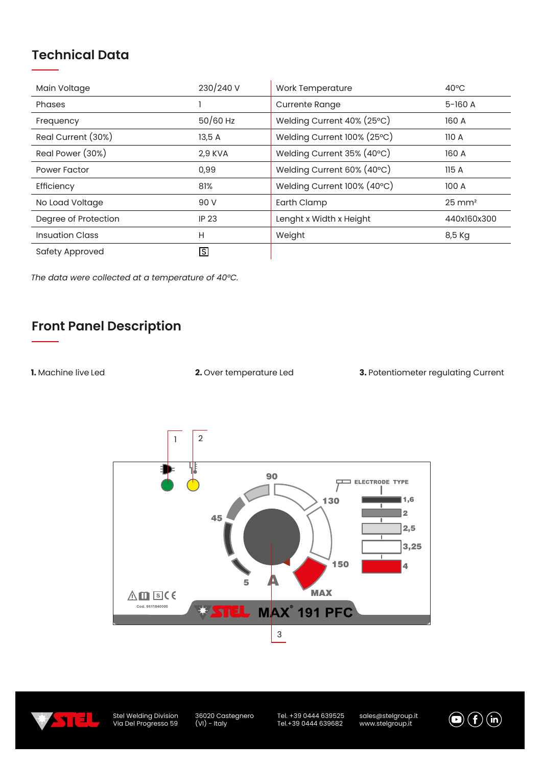# **Technical Data**

| Main Voltage           | 230/240 V    | <b>Work Temperature</b>     | $40^{\circ}$ C    |
|------------------------|--------------|-----------------------------|-------------------|
| Phases                 |              | <b>Currente Range</b>       | $5-160A$          |
| Frequency              | $50/60$ Hz   | Welding Current 40% (25°C)  | 160 A             |
| Real Current (30%)     | 13,5 A       | Welding Current 100% (25°C) | 110A              |
| Real Power (30%)       | 2,9 KVA      | Welding Current 35% (40°C)  | 160 A             |
| <b>Power Factor</b>    | 0,99         | Welding Current 60% (40°C)  | 115A              |
| Efficiency             | 81%          | Welding Current 100% (40°C) | 100 A             |
| No Load Voltage        | 90 V         | Earth Clamp                 | $25 \text{ mm}^2$ |
| Degree of Protection   | <b>IP 23</b> | Lenght x Width x Height     | 440x160x300       |
| <b>Insuation Class</b> | H            | Weight                      | 8,5 Kg            |
| Safety Approved        | <u>।</u>     |                             |                   |

*The data were collected at a temperature of 40°C.*

# **Front Panel Description**

**1.** Machine live Led

**2.** Over temperature Led **3.** Potentiometer regulating Current





Stel Welding Division Via Del Progresso 59 36020 Castegnero (VI) - Italy

Tel. +39 0444 639525 Tel.+39 0444 639682

sales@stelgroup.it www.stelgroup.it